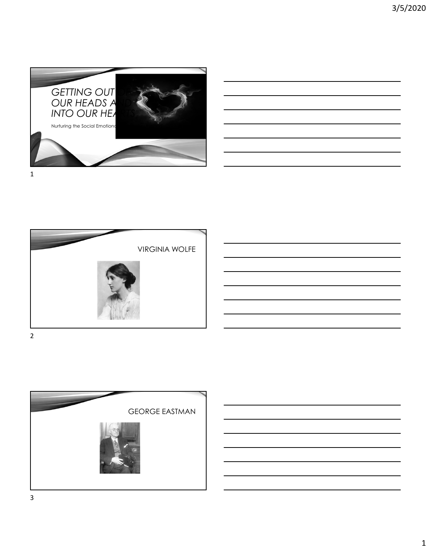







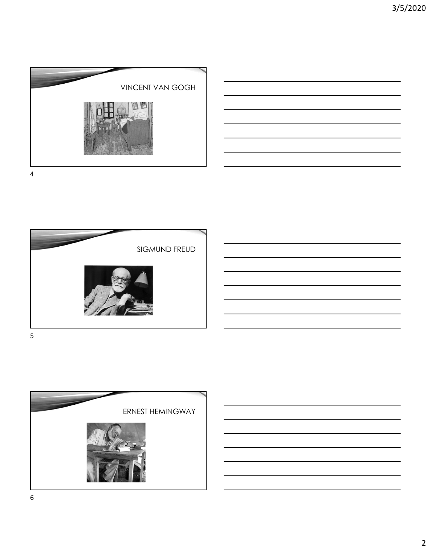





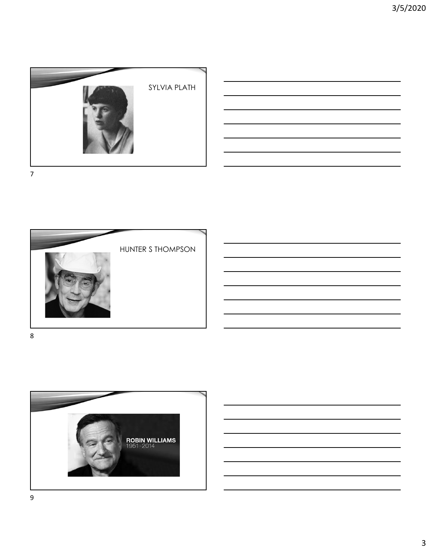



the control of the control of the control of the control of the control of



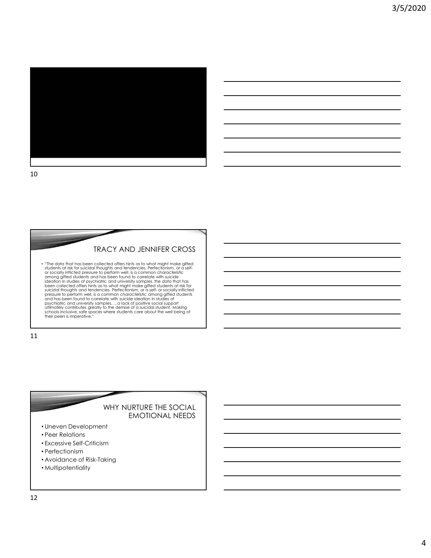

# TRACY AND JENNIFER CROSS

• "The data that has been collected offers hints as to what might make gifted students at risk for suicidal thoughts and tendencies. Perfectionism, or a selfor socially inflicted pressure to perform well, is a common characteristic among gifted students and has been found to correlate with suicide been collected offers hints as to what might make gifted students at risk for  $\overline{\phantom{a}}$ pressure to perform well, in a common characteristic among gifted students and has been found to correlate with suicide in the correlate with suicide in suicide in suicide in studies of positive samples. The correlate with ultimately contributes greatly to the demise of a suicidal student. Making<br>schools inclusive, safe spaces where students care about the well being of \_\_\_\_\_\_\_\_\_\_\_\_\_\_\_\_\_\_\_\_\_\_\_\_\_\_\_\_\_\_\_\_\_\_<br>their peers is imperative."

11

### WHY NURTURE THE SOCIAL EMOTIONAL NEEDS

- Uneven Development
- Peer Relations
- Excessive Self-Criticism
- Perfectionism
- Avoidance of Risk-Taking
- Multipotentiality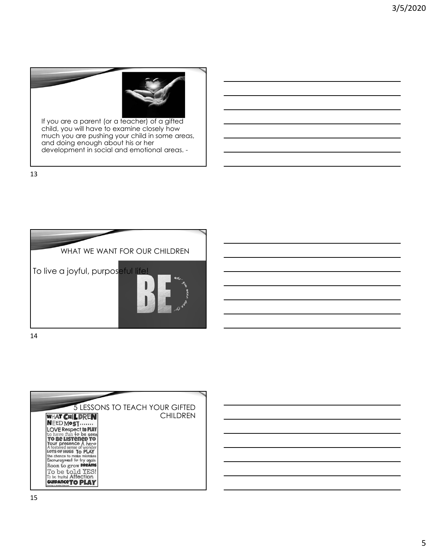

child, you will have to examine closely how much you are pushing your child in some areas,  $\qquad \qquad \Box$ \_\_\_\_\_\_\_\_\_ and doing enough about his or her development in social and emotional areas. -

13



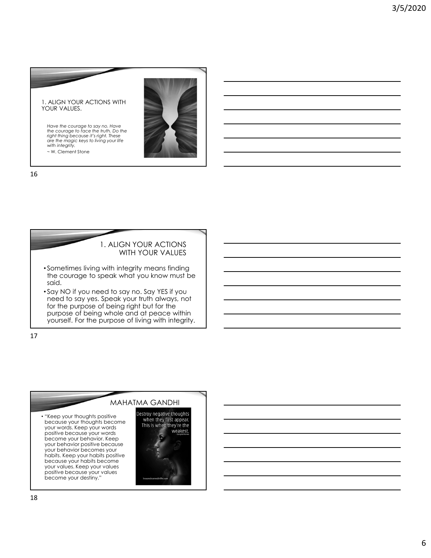

1. ALIGN YOUR ACTIONS WITH YOUR VALUES.

Have the courage to say no. Have<br>the courage to face the truth. Do the<br>right thing because it's right. These are the magic keys to living your life<br>with integrity.

16

~ W. Clement Stone



• Say NO if you need to say no. Say YES if you need to say yes. Speak your truth always, not for the purpose of being right but for the purpose of being whole and at peace within yourself. For the purpose of living with integrity.

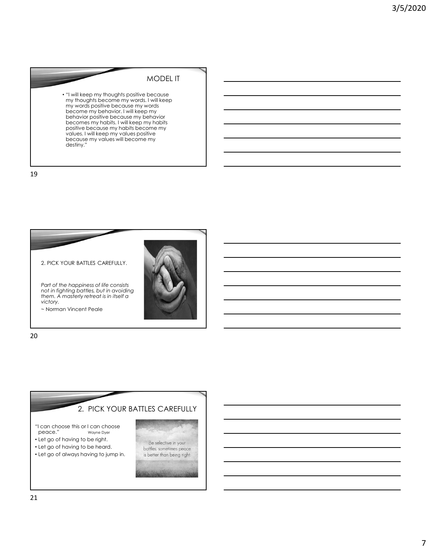### MODEL IT

• "I will keep my thoughts positive because my thoughts become my words. I will keep my words positive because my words become my behavior. I will keep my behavior positive because my behavior becomes my habits. I will keep my habits positive because my habits become my values. I will keep my values positive because my values will become my destiny."

19



20

# 2. PICK YOUR BATTLES CAREFULLY

"I can choose this or I can choose peace." Wayne Dyer

- 
- 
- Let go of always having to jump in. This is better than being right.

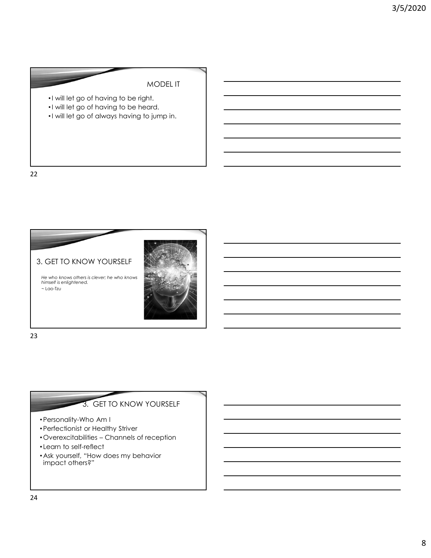# MODEL IT

- •I will let go of having to be right.
- •I will let go of having to be heard.
- •I will let go of always having to jump in.

22



23

# 3. GET TO KNOW YOURSELF

- Personality-Who Am I
- Perfectionist or Healthy Striver
- 
- Learn to self-reflect
- Ask yourself, "How does my behavior impact others?"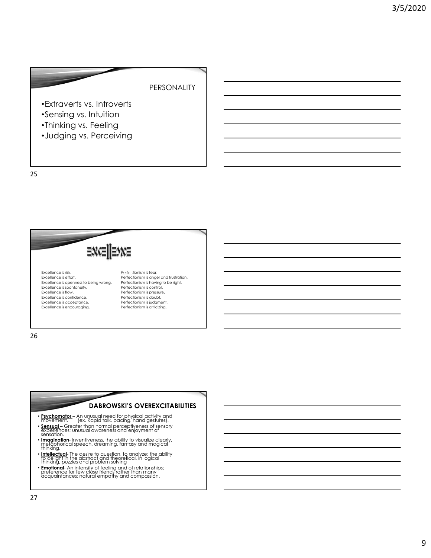# PERSONALITY

- 
- •Sensing vs. Intuition
- 
- PERSONALITY<br>•Extraverts vs. Introverts<br>•Sensing vs. Intuition<br>•Thinking vs. Feeling<br>•Judging vs. Perceiving PERSONALITY<br>
•Extraverts vs. Introverts<br>•Sensing vs. Intuition<br>•Thinking vs. Feeling<br>•Judging vs. Perceiving •Judging vs. Perceiving

25 and 25 and 25 and 25 and 25 and 25 and 25 and 26 and 26 and 26 and 26 and 26 and 26 and 26 and 26 and 26 an

# $\n\n**EXECUTE:**\n\n**EXECUTE:**\n\n**EXECUTE:**\n\n**EXECUTE:**\n\n**EXECUTE:**\n\n**EXECUTE:**\n\n**EXECUTE:**\n\n**EXECUTE:**\n\n**EXECUTE:**\n\n**EXECUTE:**\n\n**EXECUTE:**\n\n**EXECUTE:**\n\n**EXECUTE:**\n\n**EXECUTE:**\n\n**EXECUTE:**\n\n**EXECUTE:**\n\n**EXECUTE:**\n\n**EXECUTE:**\n\n**EXECUTE:**\n\n**EXECUTE:**\$

Excellence is risk. Perfectionism is fear.<br>Excellence is effort. Perfectionism is ange Excellence is openness to being wrong. Perfectionism is having to be recellence is spontaneity.<br>Perfectionism is control.<br>Excellence is flow. Perfectionism is pressure. Excellence is spontaneity. Perfectionism is control. Excellence is flow. Perfectionism is pressure. Excellence is confidence. The Perfectionism is doubt.<br>
Excellence is acceptance. Perfectionism is judgme<br>
Excellence is encouraging. Perfectionism is criticizin Excellence is acceptance. Perfectionism is judgment. Excellence is encouraging. Perfectionism is criticizing.

Perfectionism is anger and frustration.<br>Perfectionism is having to be right.

26 and the contract of the contract of the contract of the contract of the contract of the contract of the contract of the contract of the contract of the contract of the contract of the contract of the contract of the con

# DABROWSKI'S OVEREXCITABILITIES

- 
- 
- Focusional- An intensity of Feeling and of relationships; preference for few closes from the settle screen in the settle of the close friends rather than the settle screen in the settle of the close friends rather than man
- 
-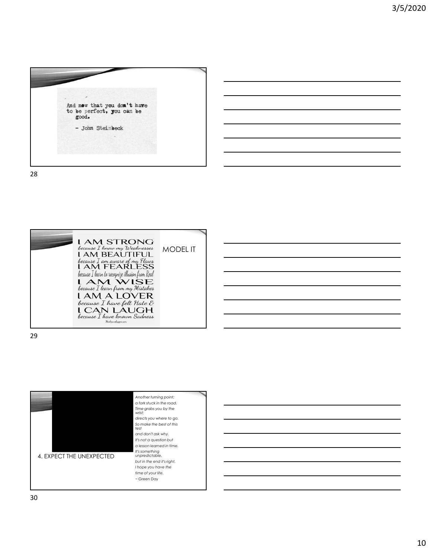



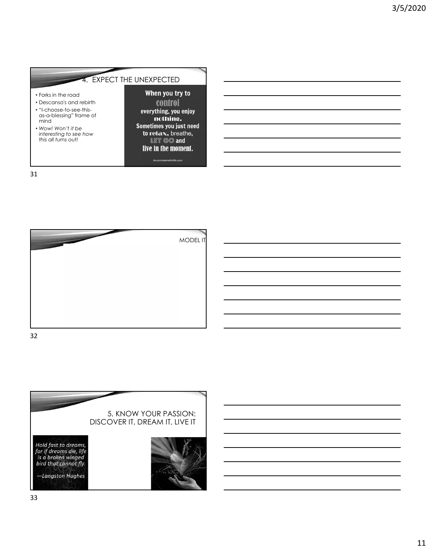



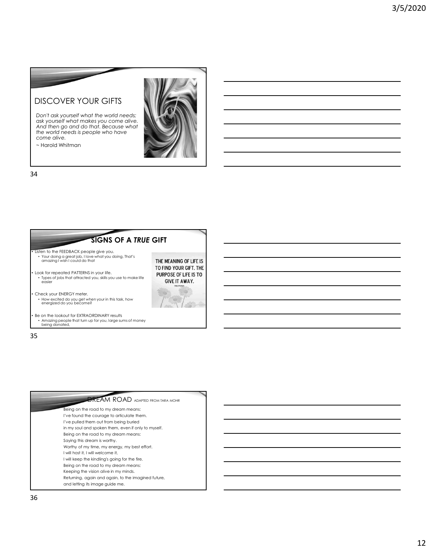# DISCOVER YOUR GIFTS

Don't ask yourself what the world needs;<br>ask yourself what makes you come alive. And then go and do that. Because what the world needs is people who have  $\sim$ 

~ Harold Whitman



### 34



| REAM ROAD ADAPTED FROM TARA MOHR                                                       |  |
|----------------------------------------------------------------------------------------|--|
| Being on the road to my dream means:                                                   |  |
| I've found the courage to articulate them.<br>I've pulled them out from being buried   |  |
| in my soul and spoken them, even if only to myself.                                    |  |
| Being on the road to my dream means:                                                   |  |
| Saying this dream is worthy.                                                           |  |
| Worthy of my time, my energy, my best effort.<br>I will host it, I will welcome it,    |  |
| I will keep the kindling's going for the fire.                                         |  |
| Being on the road to my dream means:                                                   |  |
| Keeping the vision alive in my minds.                                                  |  |
| Returning, again and again, to the imagined future,<br>and letting its image guide me. |  |
|                                                                                        |  |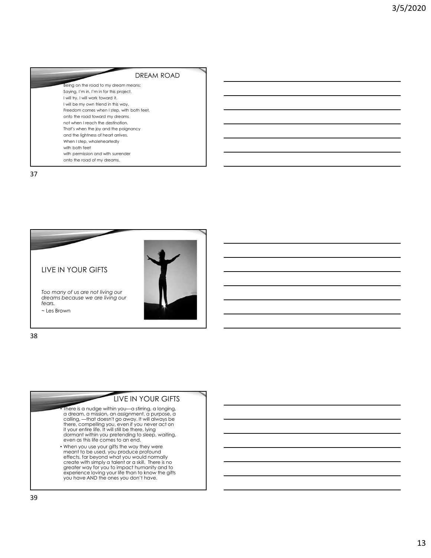| DREAM ROAD                                 |
|--------------------------------------------|
| Being on the road to my dream means:       |
| Saying, I'm in. I'm in for this project.   |
| I will try. I will work toward it.         |
| I will be my own friend in this way.       |
| Freedom comes when I step, with both feet, |
| onto the road toward my dreams             |
| not when I reach the destination.          |
| That's when the joy and the poignancy      |
| and the lightness of heart arrives.        |
| When I step, wholeheartedly                |
| with both feet                             |
| with permission and with surrender         |
| onto the road of my dreams.                |